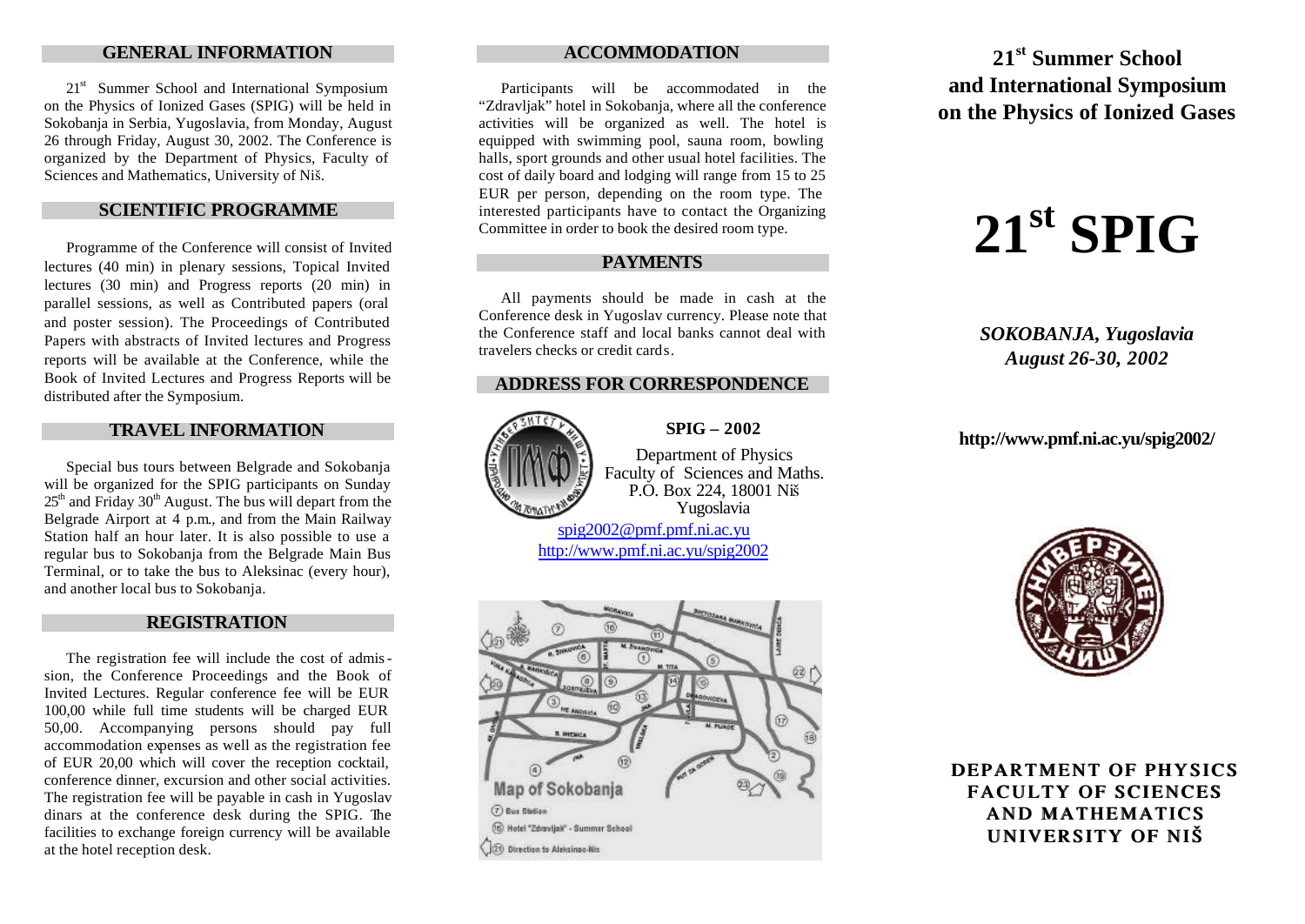## **GENERAL INFORMATION**

21<sup>st</sup> Summer School and International Symposium on the Physics of Ionized Gases (SPIG) will be held in Sokobanja in Serbia, Yugoslavia, from Monday, August 26 through Friday, August 30, 2002. The Conference is organized by the Department of Physics, Faculty of Sciences and Mathematics, University of Niš.

## **SCIENTIFIC PROGRAMME**

Programme of the Conference will consist of Invited lectures (40 min) in plenary sessions, Topical Invited lectures (30 min) and Progress reports (20 min) in parallel sessions, as well as Contributed papers (oral and poster session). The Proceedings of Contributed Papers with abstracts of Invited lectures and Progress reports will be available at the Conference, while the Book of Invited Lectures and Progress Reports will be distributed after the Symposium.

### **TRAVEL INFORMATION**

Special bus tours between Belgrade and Sokobanja will be organized for the SPIG participants on Sunday  $25<sup>th</sup>$  and Friday  $30<sup>th</sup>$  August. The bus will depart from the Belgrade Airport at 4 p.m., and from the Main Railway Station half an hour later. It is also possible to use a regular bus to Sokobanja from the Belgrade Main Bus Terminal, or to take the bus to Aleksinac (every hour), and another local bus to Sokobanja.

## **REGISTRATION**

The registration fee will include the cost of admission, the Conference Proceedings and the Book of Invited Lectures. Regular conference fee will be EUR 100,00 while full time students will be charged EUR 50,00. Accompanying persons should pay full accommodation expenses as well as the registration fee of EUR 20,00 which will cover the reception cocktail, conference dinner, excursion and other social activities. The registration fee will be payable in cash in Yugoslav dinars at the conference desk during the SPIG. The facilities to exchange foreign currency will be available at the hotel reception desk.

## **ACCOMMODATION**

Participants will be accommodated in the "Zdravljak" hotel in Sokobanja, where all the conference activities will be organized as well. The hotel is equipped with swimming pool, sauna room, bowling halls, sport grounds and other usual hotel facilities. The cost of daily board and lodging will range from 15 to 25 EUR per person, depending on the room type. The interested participants have to contact the Organizing Committee in order to book the desired room type.

## **PAYMENTS**

All payments should be made in cash at the Conference desk in Yugoslav currency. Please note that the Conference staff and local banks cannot deal with travelers checks or credit cards.

## **ADDRESS FOR CORRESPONDENCE**



**SPIG – 2002** Department of Physics Faculty of Sciences and Maths.

P.O. Box 224, 18001 Niš

Yugoslavia spig2002@pmf.pmf.ni.ac.yu http://www.pmf.ni.ac.yu/spig2002



**21st Summer School and International Symposium on the Physics of Ionized Gases**

# $21^{\text{st}}$  **SPIG**

*SOKOBANJA, Yugoslavia August 26-30, 2002* 

**http://www.pmf.ni.ac.yu/spig2002/**



**DEPARTMENT OF PHYSICS FACULTY OF SCIENCES AND MATHEMATICS UNIVERSITY OF NIŠ**